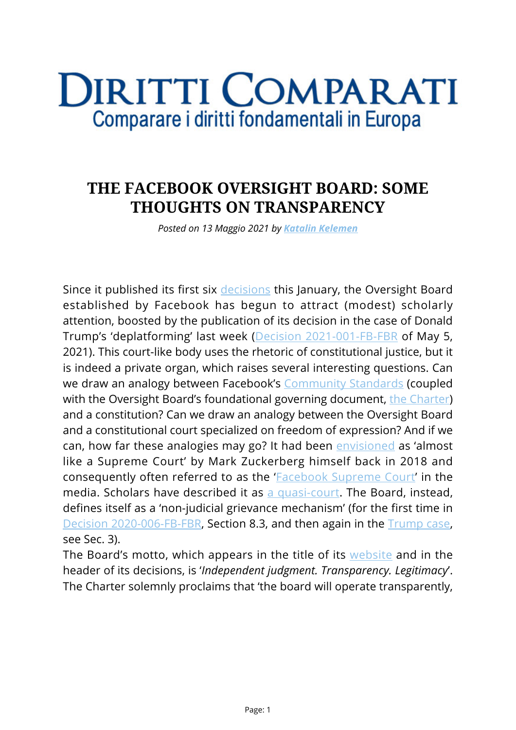## **DIRITTI COMPARATI** Comparare i diritti fondamentali in Europa

## **THE FACEBOOK OVERSIGHT BOARD: SOME THOUGHTS ON TRANSPARENCY**

*Posted on 13 Maggio 2021 by [Katalin Kelemen](https://www.diritticomparati.it/autore/katalin-kelemen/)*

Since it published its first six [decisions](https://oversightboard.com/decision/) this January, the Oversight Board established by Facebook has begun to attract (modest) scholarly attention, boosted by the publication of its decision in the case of Donald Trump's 'deplatforming' last week ([Decision 2021-001-FB-FBR](https://oversightboard.com/decision/FB-691QAMHJ/) of May 5, 2021). This court-like body uses the rhetoric of constitutional justice, but it is indeed a private organ, which raises several interesting questions. Can we draw an analogy between Facebook's [Community Standards](https://www.facebook.com/communitystandards/) (coupled with the Oversight Board's foundational governing document, [the Charter\)](https://oversightboard.com/governance/) and a constitution? Can we draw an analogy between the Oversight Board and a constitutional court specialized on freedom of expression? And if we can, how far these analogies may go? It had been [envisioned](https://www.vox.com/2018/4/2/17185052/mark-zuckerberg-facebook-interview-fake-news-bots-cambridge) as 'almost like a Supreme Court' by Mark Zuckerberg himself back in 2018 and consequently often referred to as the '[Facebook Supreme Court](https://www.bbc.com/news/technology-54278788)' in the media. Scholars have described it as [a quasi-court.](https://verfassungsblog.de/fob-constitutionalism/) The Board, instead, defines itself as a 'non-judicial grievance mechanism' (for the first time in [Decision 2020-006-FB-FBR](https://oversightboard.com/decision/FB-XWJQBU9A/), Section 8.3, and then again in the [Trump case](https://oversightboard.com/decision/FB-691QAMHJ/), see Sec. 3).

The Board's motto, which appears in the title of its [website](https://oversightboard.com/) and in the header of its decisions, is '*Independent judgment. Transparency. Legitimacy*'. The Charter solemnly proclaims that 'the board will operate transparently,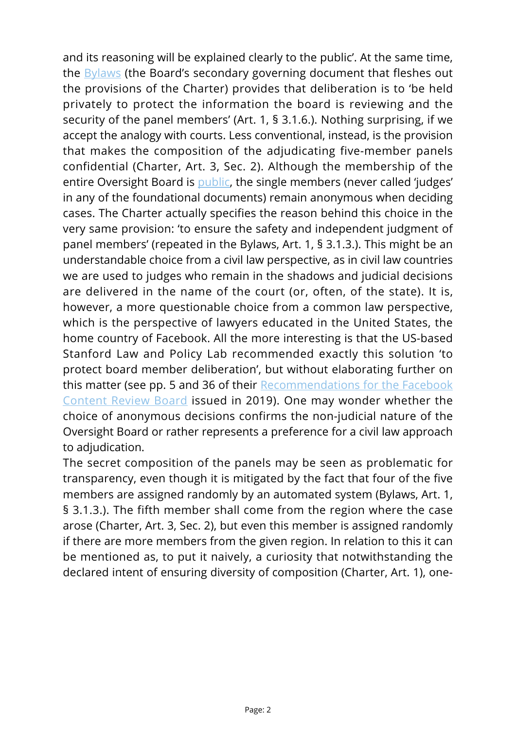and its reasoning will be explained clearly to the public'. At the same time, the [Bylaws](https://oversightboard.com/sr/governance/bylaws) (the Board's secondary governing document that fleshes out the provisions of the Charter) provides that deliberation is to 'be held privately to protect the information the board is reviewing and the security of the panel members' (Art. 1, § 3.1.6.). Nothing surprising, if we accept the analogy with courts. Less conventional, instead, is the provision that makes the composition of the adjudicating five-member panels confidential (Charter, Art. 3, Sec. 2). Although the membership of the entire Oversight Board is [public](https://oversightboard.com/meet-the-board/), the single members (never called 'judges' in any of the foundational documents) remain anonymous when deciding cases. The Charter actually specifies the reason behind this choice in the very same provision: 'to ensure the safety and independent judgment of panel members' (repeated in the Bylaws, Art. 1, § 3.1.3.). This might be an understandable choice from a civil law perspective, as in civil law countries we are used to judges who remain in the shadows and judicial decisions are delivered in the name of the court (or, often, of the state). It is, however, a more questionable choice from a common law perspective, which is the perspective of lawyers educated in the United States, the home country of Facebook. All the more interesting is that the US-based Stanford Law and Policy Lab recommended exactly this solution 'to protect board member deliberation', but without elaborating further on this matter (see pp. 5 and 36 of their [Recommendations for the Facebook](https://law.stanford.edu/publications/recommendations-for-the-facebook-content-review-board/) [Content Review Board](https://law.stanford.edu/publications/recommendations-for-the-facebook-content-review-board/) issued in 2019). One may wonder whether the choice of anonymous decisions confirms the non-judicial nature of the Oversight Board or rather represents a preference for a civil law approach to adjudication.

The secret composition of the panels may be seen as problematic for transparency, even though it is mitigated by the fact that four of the five members are assigned randomly by an automated system (Bylaws, Art. 1, § 3.1.3.). The fifth member shall come from the region where the case arose (Charter, Art. 3, Sec. 2), but even this member is assigned randomly if there are more members from the given region. In relation to this it can be mentioned as, to put it naively, a curiosity that notwithstanding the declared intent of ensuring diversity of composition (Charter, Art. 1), one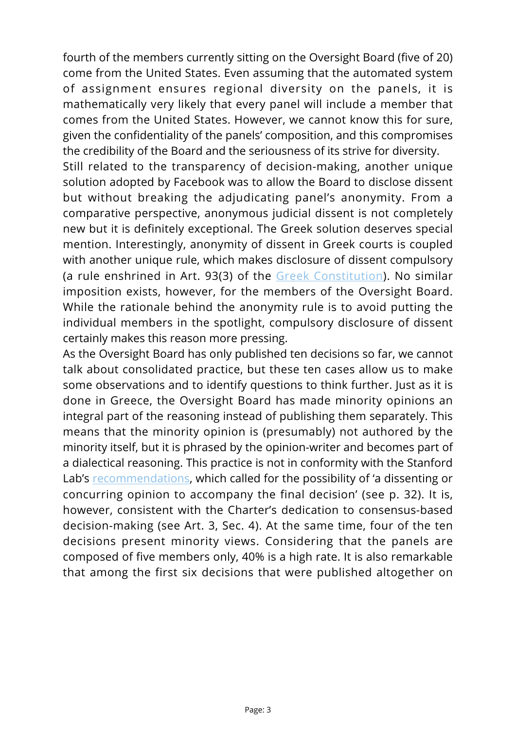fourth of the members currently sitting on the Oversight Board (five of 20) come from the United States. Even assuming that the automated system of assignment ensures regional diversity on the panels, it is mathematically very likely that every panel will include a member that comes from the United States. However, we cannot know this for sure, given the confidentiality of the panels' composition, and this compromises the credibility of the Board and the seriousness of its strive for diversity.

Still related to the transparency of decision-making, another unique solution adopted by Facebook was to allow the Board to disclose dissent but without breaking the adjudicating panel's anonymity. From a comparative perspective, anonymous judicial dissent is not completely new but it is definitely exceptional. The Greek solution deserves special mention. Interestingly, anonymity of dissent in Greek courts is coupled with another unique rule, which makes disclosure of dissent compulsory (a rule enshrined in Art. 93(3) of the [Greek Constitution](https://www.hellenicparliament.gr/en/Vouli-ton-Ellinon/To-Politevma/Syntagma/)). No similar imposition exists, however, for the members of the Oversight Board. While the rationale behind the anonymity rule is to avoid putting the individual members in the spotlight, compulsory disclosure of dissent certainly makes this reason more pressing.

As the Oversight Board has only published ten decisions so far, we cannot talk about consolidated practice, but these ten cases allow us to make some observations and to identify questions to think further. Just as it is done in Greece, the Oversight Board has made minority opinions an integral part of the reasoning instead of publishing them separately. This means that the minority opinion is (presumably) not authored by the minority itself, but it is phrased by the opinion-writer and becomes part of a dialectical reasoning. This practice is not in conformity with the Stanford Lab's [recommendations,](https://law.stanford.edu/publications/recommendations-for-the-facebook-content-review-board/) which called for the possibility of 'a dissenting or concurring opinion to accompany the final decision' (see p. 32). It is, however, consistent with the Charter's dedication to consensus-based decision-making (see Art. 3, Sec. 4). At the same time, four of the ten decisions present minority views. Considering that the panels are composed of five members only, 40% is a high rate. It is also remarkable that among the first six decisions that were published altogether on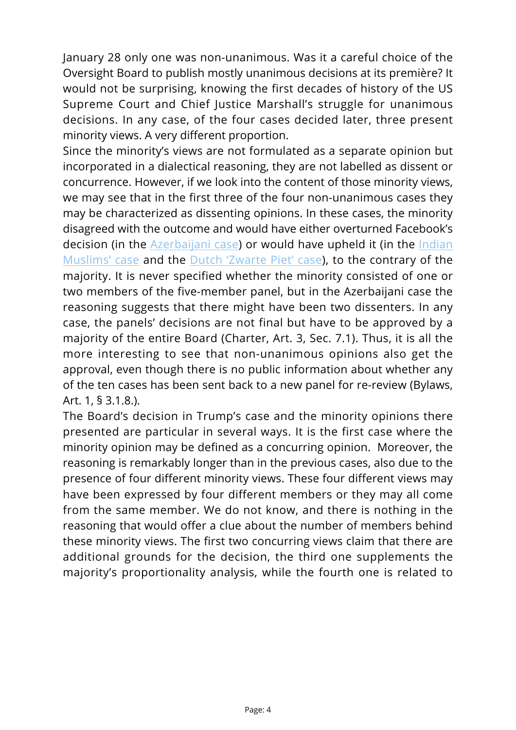January 28 only one was non-unanimous. Was it a careful choice of the Oversight Board to publish mostly unanimous decisions at its première? It would not be surprising, knowing the first decades of history of the US Supreme Court and Chief Justice Marshall's struggle for unanimous decisions. In any case, of the four cases decided later, three present minority views. A very different proportion.

Since the minority's views are not formulated as a separate opinion but incorporated in a dialectical reasoning, they are not labelled as dissent or concurrence. However, if we look into the content of those minority views, we may see that in the first three of the four non-unanimous cases they may be characterized as dissenting opinions. In these cases, the minority disagreed with the outcome and would have either overturned Facebook's decision (in the [Azerbaijani case](https://oversightboard.com/decision/FB-QBJDASCV/)) or would have upheld it (in the [Indian](https://oversightboard.com/decision/FB-R9K87402/) [Muslims' case](https://oversightboard.com/decision/FB-R9K87402/) and the [Dutch 'Zwarte Piet' case\)](https://oversightboard.com/decision/FB-S6NRTDAJ/), to the contrary of the majority. It is never specified whether the minority consisted of one or two members of the five-member panel, but in the Azerbaijani case the reasoning suggests that there might have been two dissenters. In any case, the panels' decisions are not final but have to be approved by a majority of the entire Board (Charter, Art. 3, Sec. 7.1). Thus, it is all the more interesting to see that non-unanimous opinions also get the approval, even though there is no public information about whether any of the ten cases has been sent back to a new panel for re-review (Bylaws, Art. 1, § 3.1.8.).

The Board's decision in Trump's case and the minority opinions there presented are particular in several ways. It is the first case where the minority opinion may be defined as a concurring opinion. Moreover, the reasoning is remarkably longer than in the previous cases, also due to the presence of four different minority views. These four different views may have been expressed by four different members or they may all come from the same member. We do not know, and there is nothing in the reasoning that would offer a clue about the number of members behind these minority views. The first two concurring views claim that there are additional grounds for the decision, the third one supplements the majority's proportionality analysis, while the fourth one is related to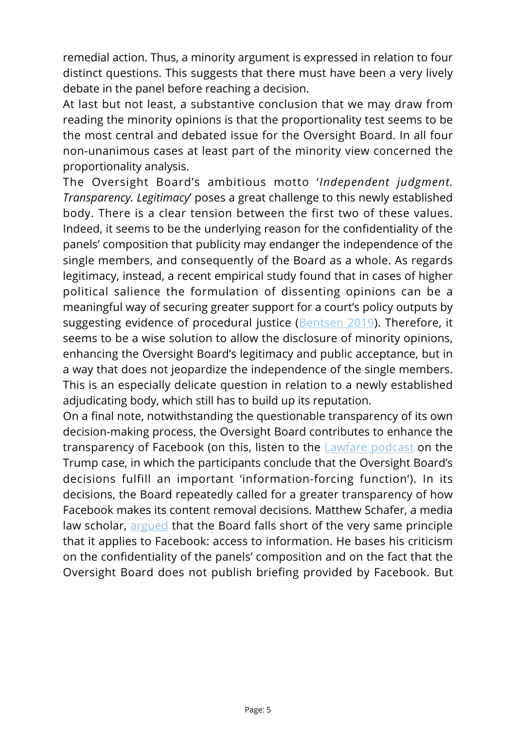remedial action. Thus, a minority argument is expressed in relation to four distinct questions. This suggests that there must have been a very lively debate in the panel before reaching a decision.

At last but not least, a substantive conclusion that we may draw from reading the minority opinions is that the proportionality test seems to be the most central and debated issue for the Oversight Board. In all four non-unanimous cases at least part of the minority view concerned the proportionality analysis.

The Oversight Board's ambitious motto '*Independent judgment. Transparency. Legitimacy*' poses a great challenge to this newly established body. There is a clear tension between the first two of these values. Indeed, it seems to be the underlying reason for the confidentiality of the panels' composition that publicity may endanger the independence of the single members, and consequently of the Board as a whole. As regards legitimacy, instead, a recent empirical study found that in cases of higher political salience the formulation of dissenting opinions can be a meaningful way of securing greater support for a court's policy outputs by suggesting evidence of procedural justice ([Bentsen 2019\)](https://onlinelibrary.wiley.com/doi/abs/10.1111/lasr.12402). Therefore, it seems to be a wise solution to allow the disclosure of minority opinions, enhancing the Oversight Board's legitimacy and public acceptance, but in a way that does not jeopardize the independence of the single members. This is an especially delicate question in relation to a newly established adjudicating body, which still has to build up its reputation.

On a final note, notwithstanding the questionable transparency of its own decision-making process, the Oversight Board contributes to enhance the transparency of Facebook (on this, listen to the **Lawfare podcast** on the Trump case, in which the participants conclude that the Oversight Board's decisions fulfill an important 'information-forcing function'). In its decisions, the Board repeatedly called for a greater transparency of how Facebook makes its content removal decisions. Matthew Schafer, a media law scholar, [argued](https://matthewschafer.medium.com/10-lessons-from-the-first-decisions-of-facebooks-oversight-board-7562e8a6a609) that the Board falls short of the very same principle that it applies to Facebook: access to information. He bases his criticism on the confidentiality of the panels' composition and on the fact that the Oversight Board does not publish briefing provided by Facebook. But